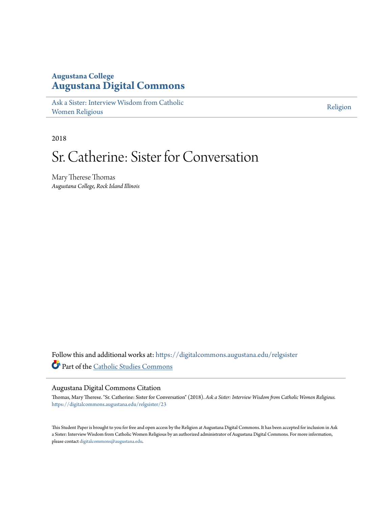## **Augustana College [Augustana Digital Commons](https://digitalcommons.augustana.edu?utm_source=digitalcommons.augustana.edu%2Frelgsister%2F23&utm_medium=PDF&utm_campaign=PDFCoverPages)**

[Ask a Sister: Interview Wisdom from Catholic](https://digitalcommons.augustana.edu/relgsister?utm_source=digitalcommons.augustana.edu%2Frelgsister%2F23&utm_medium=PDF&utm_campaign=PDFCoverPages) [Women Religious](https://digitalcommons.augustana.edu/relgsister?utm_source=digitalcommons.augustana.edu%2Frelgsister%2F23&utm_medium=PDF&utm_campaign=PDFCoverPages)

[Religion](https://digitalcommons.augustana.edu/religion?utm_source=digitalcommons.augustana.edu%2Frelgsister%2F23&utm_medium=PDF&utm_campaign=PDFCoverPages)

2018

# Sr. Catherine: Sister for Conversation

Mary Therese Thomas *Augustana College, Rock Island Illinois*

Follow this and additional works at: [https://digitalcommons.augustana.edu/relgsister](https://digitalcommons.augustana.edu/relgsister?utm_source=digitalcommons.augustana.edu%2Frelgsister%2F23&utm_medium=PDF&utm_campaign=PDFCoverPages) Part of the [Catholic Studies Commons](http://network.bepress.com/hgg/discipline/1294?utm_source=digitalcommons.augustana.edu%2Frelgsister%2F23&utm_medium=PDF&utm_campaign=PDFCoverPages)

### Augustana Digital Commons Citation

Thomas, Mary Therese. "Sr. Catherine: Sister for Conversation" (2018). *Ask a Sister: Interview Wisdom from Catholic Women Religious.* [https://digitalcommons.augustana.edu/relgsister/23](https://digitalcommons.augustana.edu/relgsister/23?utm_source=digitalcommons.augustana.edu%2Frelgsister%2F23&utm_medium=PDF&utm_campaign=PDFCoverPages)

This Student Paper is brought to you for free and open access by the Religion at Augustana Digital Commons. It has been accepted for inclusion in Ask a Sister: Interview Wisdom from Catholic Women Religious by an authorized administrator of Augustana Digital Commons. For more information, please contact [digitalcommons@augustana.edu.](mailto:digitalcommons@augustana.edu)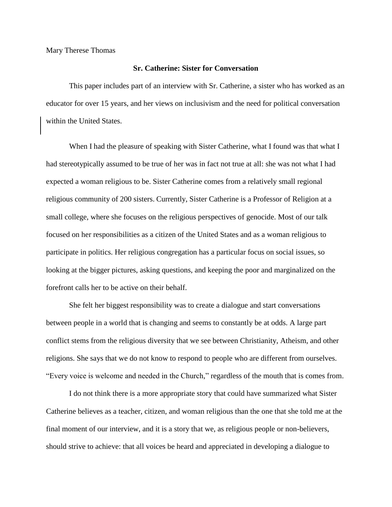Mary Therese Thomas

#### **Sr. Catherine: Sister for Conversation**

This paper includes part of an interview with Sr. Catherine, a sister who has worked as an educator for over 15 years, and her views on inclusivism and the need for political conversation within the United States.

When I had the pleasure of speaking with Sister Catherine, what I found was that what I had stereotypically assumed to be true of her was in fact not true at all: she was not what I had expected a woman religious to be. Sister Catherine comes from a relatively small regional religious community of 200 sisters. Currently, Sister Catherine is a Professor of Religion at a small college, where she focuses on the religious perspectives of genocide. Most of our talk focused on her responsibilities as a citizen of the United States and as a woman religious to participate in politics. Her religious congregation has a particular focus on social issues, so looking at the bigger pictures, asking questions, and keeping the poor and marginalized on the forefront calls her to be active on their behalf.

She felt her biggest responsibility was to create a dialogue and start conversations between people in a world that is changing and seems to constantly be at odds. A large part conflict stems from the religious diversity that we see between Christianity, Atheism, and other religions. She says that we do not know to respond to people who are different from ourselves. "Every voice is welcome and needed in the Church," regardless of the mouth that is comes from.

I do not think there is a more appropriate story that could have summarized what Sister Catherine believes as a teacher, citizen, and woman religious than the one that she told me at the final moment of our interview, and it is a story that we, as religious people or non-believers, should strive to achieve: that all voices be heard and appreciated in developing a dialogue to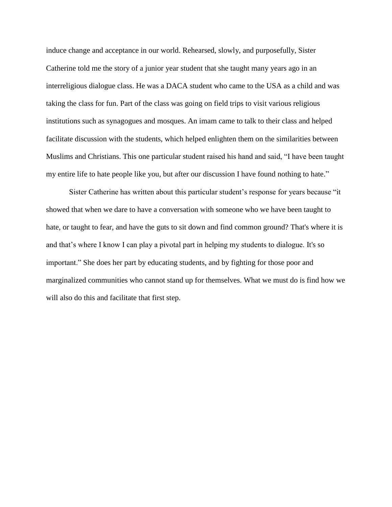induce change and acceptance in our world. Rehearsed, slowly, and purposefully, Sister Catherine told me the story of a junior year student that she taught many years ago in an interreligious dialogue class. He was a DACA student who came to the USA as a child and was taking the class for fun. Part of the class was going on field trips to visit various religious institutions such as synagogues and mosques. An imam came to talk to their class and helped facilitate discussion with the students, which helped enlighten them on the similarities between Muslims and Christians. This one particular student raised his hand and said, "I have been taught my entire life to hate people like you, but after our discussion I have found nothing to hate."

Sister Catherine has written about this particular student's response for years because "it showed that when we dare to have a conversation with someone who we have been taught to hate, or taught to fear, and have the guts to sit down and find common ground? That's where it is and that's where I know I can play a pivotal part in helping my students to dialogue. It's so important." She does her part by educating students, and by fighting for those poor and marginalized communities who cannot stand up for themselves. What we must do is find how we will also do this and facilitate that first step.